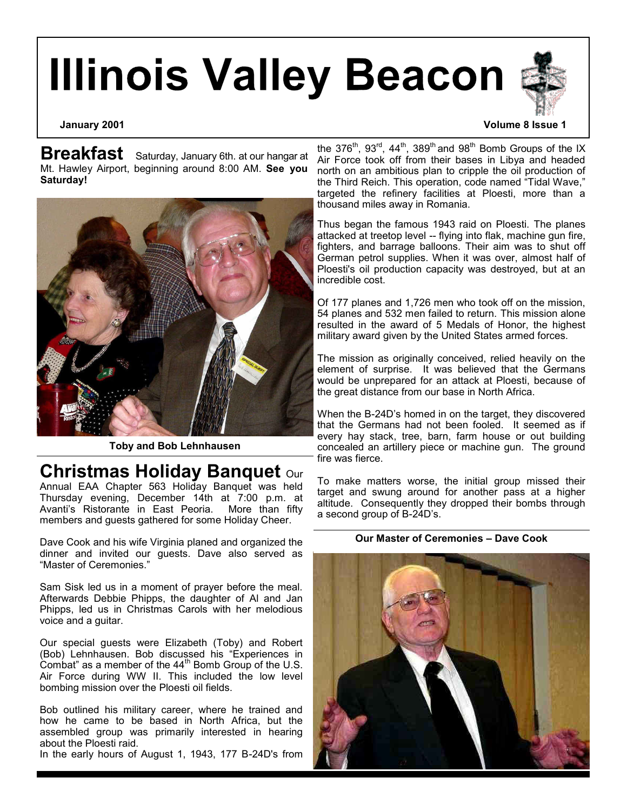# **Illinois Valley Beacon**

**Breakfast** Saturday, January 6th. at our hangar at Mt. Hawley Airport, beginning around 8:00 AM. **See you Saturday!**



**Toby and Bob Lehnhausen**

## **Christmas Holiday Banquet** our

Annual EAA Chapter 563 Holiday Banquet was held Thursday evening, December 14th at 7:00 p.m. at Avanti's Ristorante in East Peoria. More than fifty members and guests gathered for some Holiday Cheer.

Dave Cook and his wife Virginia planed and organized the dinner and invited our guests. Dave also served as "Master of Ceremonies."

Sam Sisk led us in a moment of prayer before the meal. Afterwards Debbie Phipps, the daughter of Al and Jan Phipps, led us in Christmas Carols with her melodious voice and a guitar.

Our special guests were Elizabeth (Toby) and Robert (Bob) Lehnhausen. Bob discussed his "Experiences in Combat" as a member of the 44th Bomb Group of the U.S. Air Force during WW II. This included the low level bombing mission over the Ploesti oil fields.

Bob outlined his military career, where he trained and how he came to be based in North Africa, but the assembled group was primarily interested in hearing about the Ploesti raid.

In the early hours of August 1, 1943, 177 B-24D's from

#### **January 2001 Volume 8 Issue 1**

the 376<sup>th</sup>, 93<sup>rd</sup>, 44<sup>th</sup>, 389<sup>th</sup> and 98<sup>th</sup> Bomb Groups of the IX Air Force took off from their bases in Libya and headed north on an ambitious plan to cripple the oil production of the Third Reich. This operation, code named "Tidal Wave," targeted the refinery facilities at Ploesti, more than a thousand miles away in Romania.

Thus began the famous 1943 raid on Ploesti. The planes attacked at treetop level -- flying into flak, machine gun fire, fighters, and barrage balloons. Their aim was to shut off German petrol supplies. When it was over, almost half of Ploesti's oil production capacity was destroyed, but at an incredible cost.

Of 177 planes and 1,726 men who took off on the mission, 54 planes and 532 men failed to return. This mission alone resulted in the award of 5 Medals of Honor, the highest military award given by the United States armed forces.

The mission as originally conceived, relied heavily on the element of surprise. It was believed that the Germans would be unprepared for an attack at Ploesti, because of the great distance from our base in North Africa.

When the B-24D's homed in on the target, they discovered that the Germans had not been fooled. It seemed as if every hay stack, tree, barn, farm house or out building concealed an artillery piece or machine gun. The ground fire was fierce.

To make matters worse, the initial group missed their target and swung around for another pass at a higher altitude. Consequently they dropped their bombs through a second group of B-24D's.

#### **Our Master of Ceremonies – Dave Cook**

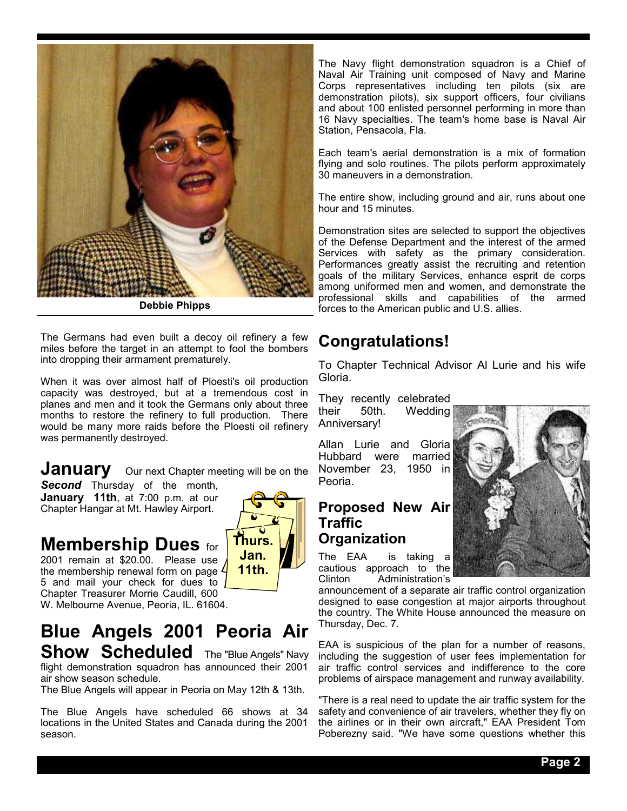

**Debbie Phipps**

The Germans had even built a decoy oil refinery a few miles before the target in an attempt to fool the bombers into dropping their armament prematurely.

When it was over almost half of Ploesti's oil production capacity was destroyed, but at a tremendous cost in planes and men and it took the Germans only about three months to restore the refinery to full production. There would be many more raids before the Ploesti oil refinery was permanently destroyed.

**January** Our next Chapter meeting will be on the

**Second** Thursday of the month, **January 11th**, at 7:00 p.m. at our Chapter Hangar at Mt. Hawley Airport.

#### **Membership Dues** for 2001 remain at \$20.00. Please use

5 and mail your check for dues to Chapter Treasurer Morrie Caudill, 600 W. Melbourne Avenue, Peoria, IL. 61604.



The Navy flight demonstration squadron is a Chief of Naval Air Training unit composed of Navy and Marine Corps representatives including ten pilots (six are demonstration pilots), six support officers, four civilians and about 100 enlisted personnel performing in more than 16 Navy specialties. The team's home base is Naval Air Station, Pensacola, Fla.

Each team's aerial demonstration is a mix of formation flying and solo routines. The pilots perform approximately 30 maneuvers in a demonstration.

The entire show, including ground and air, runs about one hour and 15 minutes.

Demonstration sites are selected to support the objectives of the Defense Department and the interest of the armed Services with safety as the primary consideration. Performances greatly assist the recruiting and retention goals of the military Services, enhance esprit de corps among uniformed men and women, and demonstrate the professional skills and capabilities of the armed forces to the American public and U.S. allies.

## **Congratulations!**

To Chapter Technical Advisor Al Lurie and his wife Gloria.

They recently celebrated their 50th. Wedding Anniversary!

Allan Lurie and Gloria Hubbard were married November 23, 1950 in Peoria.

### **Proposed New Air Traffic Organization**

The EAA is taking a cautious approach to the<br>Clinton Administration's .<br>Administration's



announcement of a separate air traffic control organization designed to ease congestion at major airports throughout the country. The White House announced the measure on Thursday, Dec. 7.

EAA is suspicious of the plan for a number of reasons, including the suggestion of user fees implementation for air traffic control services and indifference to the core problems of airspace management and runway availability.

"There is a real need to update the air traffic system for the safety and convenience of air travelers, whether they fly on the airlines or in their own aircraft," EAA President Tom Poberezny said. "We have some questions whether this

## **Blue Angels 2001 Peoria Air Show Scheduled** The "Blue Angels" Navy

flight demonstration squadron has announced their 2001 air show season schedule.

The Blue Angels will appear in Peoria on May 12th & 13th.

The Blue Angels have scheduled 66 shows at 34 locations in the United States and Canada during the 2001 season.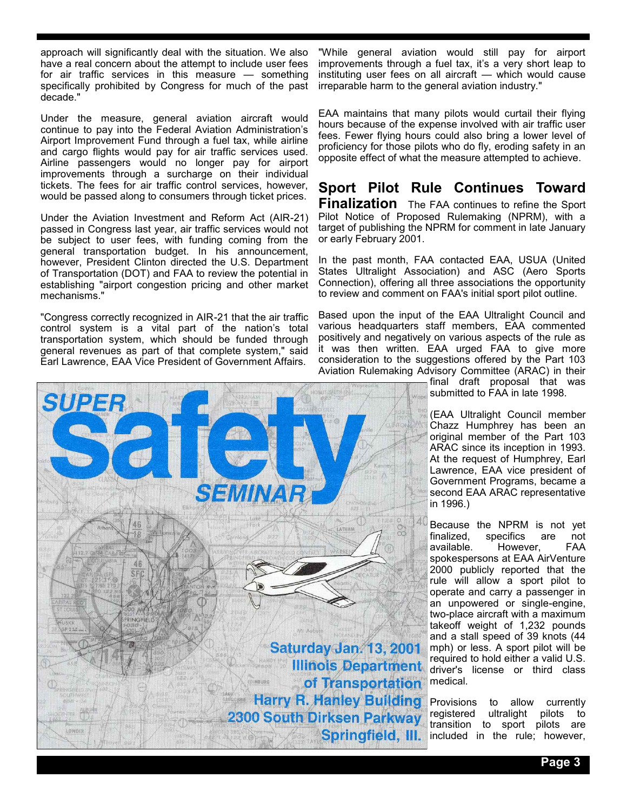approach will significantly deal with the situation. We also have a real concern about the attempt to include user fees for air traffic services in this measure — something specifically prohibited by Congress for much of the past decade."

Under the measure, general aviation aircraft would continue to pay into the Federal Aviation Administration's Airport Improvement Fund through a fuel tax, while airline and cargo flights would pay for air traffic services used. Airline passengers would no longer pay for airport improvements through a surcharge on their individual tickets. The fees for air traffic control services, however, would be passed along to consumers through ticket prices.

Under the Aviation Investment and Reform Act (AIR-21) passed in Congress last year, air traffic services would not be subject to user fees, with funding coming from the general transportation budget. In his announcement, however, President Clinton directed the U.S. Department of Transportation (DOT) and FAA to review the potential in establishing "airport congestion pricing and other market mechanisms."

"Congress correctly recognized in AIR-21 that the air traffic control system is a vital part of the nation's total transportation system, which should be funded through general revenues as part of that complete system," said Earl Lawrence, EAA Vice President of Government Affairs.

"While general aviation would still pay for airport improvements through a fuel tax, it's a very short leap to instituting user fees on all aircraft — which would cause irreparable harm to the general aviation industry."

EAA maintains that many pilots would curtail their flying hours because of the expense involved with air traffic user fees. Fewer flying hours could also bring a lower level of proficiency for those pilots who do fly, eroding safety in an opposite effect of what the measure attempted to achieve.

**Sport Pilot Rule Continues Toward Finalization** The FAA continues to refine the Sport Pilot Notice of Proposed Rulemaking (NPRM), with a target of publishing the NPRM for comment in late January or early February 2001.

In the past month, FAA contacted EAA, USUA (United States Ultralight Association) and ASC (Aero Sports Connection), offering all three associations the opportunity to review and comment on FAA's initial sport pilot outline.

Based upon the input of the EAA Ultralight Council and various headquarters staff members, EAA commented positively and negatively on various aspects of the rule as it was then written. EAA urged FAA to give more consideration to the suggestions offered by the Part 103 Aviation Rulemaking Advisory Committee (ARAC) in their

> final draft proposal that was submitted to FAA in late 1998.

(EAA Ultralight Council member Chazz Humphrey has been an original member of the Part 103 ARAC since its inception in 1993. At the request of Humphrey, Earl Lawrence, EAA vice president of Government Programs, became a second EAA ARAC representative in 1996.)

Because the NPRM is not yet<br>finalized. specifics are not finalized, specifics are not<br>available. However, FAA However, spokespersons at EAA AirVenture 2000 publicly reported that the rule will allow a sport pilot to operate and carry a passenger in an unpowered or single-engine, two-place aircraft with a maximum takeoff weight of 1,232 pounds and a stall speed of 39 knots (44 mph) or less. A sport pilot will be required to hold either a valid U.S. driver's license or third class medical.

Provisions to allow currently registered ultralight pilots to transition to sport pilots are included in the rule; however,



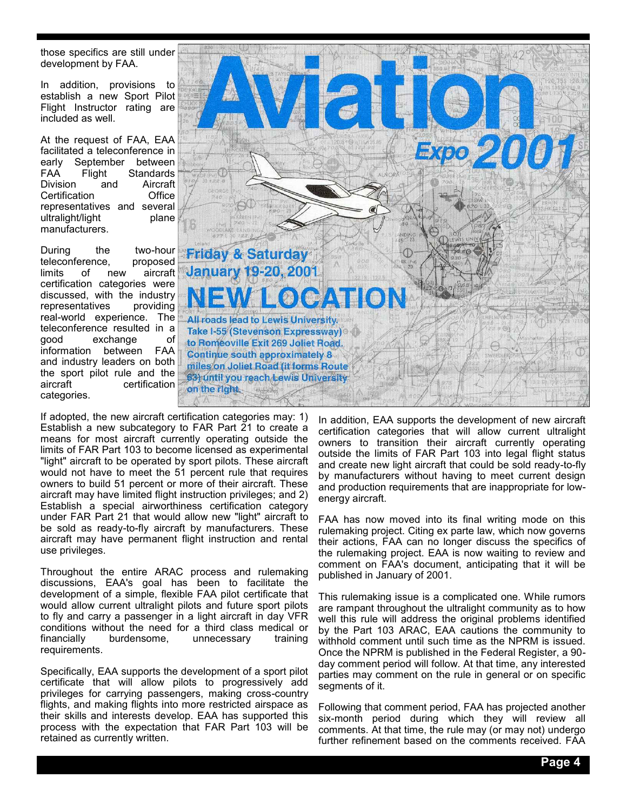those specifics are still under development by FAA.

In addition, provisions to establish a new Sport Pilot Flight Instructor rating are included as well.

At the request of FAA, EAA facilitated a teleconference in early September between FAA Flight Standards<br>Division and Aircraft **Division** Certification Office representatives and several ultralight/light plane manufacturers.

During the two-hour teleconference, proposed limits of new aircraft certification categories were discussed, with the industry representatives providing real-world experience. The teleconference resulted in a good exchange of information between FAA and industry leaders on both the sport pilot rule and the aircraft certification categories.



If adopted, the new aircraft certification categories may: 1) Establish a new subcategory to FAR Part 21 to create a means for most aircraft currently operating outside the limits of FAR Part 103 to become licensed as experimental "light" aircraft to be operated by sport pilots. These aircraft would not have to meet the 51 percent rule that requires owners to build 51 percent or more of their aircraft. These aircraft may have limited flight instruction privileges; and 2) Establish a special airworthiness certification category under FAR Part 21 that would allow new "light" aircraft to be sold as ready-to-fly aircraft by manufacturers. These aircraft may have permanent flight instruction and rental use privileges.

Throughout the entire ARAC process and rulemaking discussions, EAA's goal has been to facilitate the development of a simple, flexible FAA pilot certificate that would allow current ultralight pilots and future sport pilots to fly and carry a passenger in a light aircraft in day VFR conditions without the need for a third class medical or financially burdensome, unnecessary training requirements.

Specifically, EAA supports the development of a sport pilot certificate that will allow pilots to progressively add privileges for carrying passengers, making cross-country flights, and making flights into more restricted airspace as their skills and interests develop. EAA has supported this process with the expectation that FAR Part 103 will be retained as currently written.

In addition, EAA supports the development of new aircraft certification categories that will allow current ultralight owners to transition their aircraft currently operating outside the limits of FAR Part 103 into legal flight status and create new light aircraft that could be sold ready-to-fly by manufacturers without having to meet current design and production requirements that are inappropriate for lowenergy aircraft.

FAA has now moved into its final writing mode on this rulemaking project. Citing ex parte law, which now governs their actions, FAA can no longer discuss the specifics of the rulemaking project. EAA is now waiting to review and comment on FAA's document, anticipating that it will be published in January of 2001.

This rulemaking issue is a complicated one. While rumors are rampant throughout the ultralight community as to how well this rule will address the original problems identified by the Part 103 ARAC, EAA cautions the community to withhold comment until such time as the NPRM is issued. Once the NPRM is published in the Federal Register, a 90 day comment period will follow. At that time, any interested parties may comment on the rule in general or on specific segments of it.

Following that comment period, FAA has projected another six-month period during which they will review all comments. At that time, the rule may (or may not) undergo further refinement based on the comments received. FAA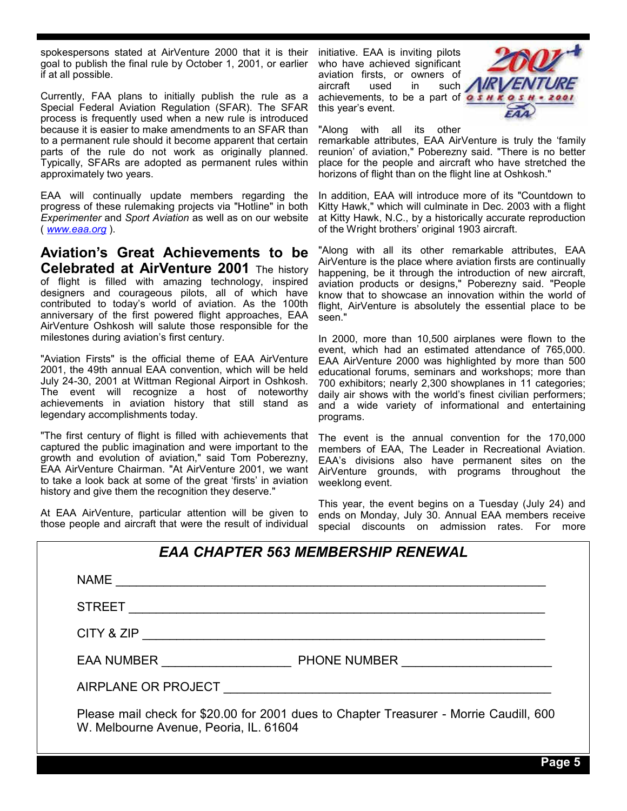spokespersons stated at AirVenture 2000 that it is their goal to publish the final rule by October 1, 2001, or earlier if at all possible.

Currently, FAA plans to initially publish the rule as a Special Federal Aviation Regulation (SFAR). The SFAR process is frequently used when a new rule is introduced because it is easier to make amendments to an SFAR than to a permanent rule should it become apparent that certain parts of the rule do not work as originally planned. Typically, SFARs are adopted as permanent rules within approximately two years.

EAA will continually update members regarding the progress of these rulemaking projects via "Hotline" in both *Experimenter* and *Sport Aviation* as well as on our website ( *www.eaa.org* ).

**Aviation's Great Achievements to be Celebrated at AirVenture 2001** The history of flight is filled with amazing technology, inspired designers and courageous pilots, all of which have contributed to today's world of aviation. As the 100th anniversary of the first powered flight approaches, EAA AirVenture Oshkosh will salute those responsible for the milestones during aviation's first century.

"Aviation Firsts" is the official theme of EAA AirVenture 2001, the 49th annual EAA convention, which will be held July 24-30, 2001 at Wittman Regional Airport in Oshkosh. The event will recognize a host of noteworthy achievements in aviation history that still stand as legendary accomplishments today.

"The first century of flight is filled with achievements that captured the public imagination and were important to the growth and evolution of aviation," said Tom Poberezny, EAA AirVenture Chairman. "At AirVenture 2001, we want to take a look back at some of the great 'firsts' in aviation history and give them the recognition they deserve."

At EAA AirVenture, particular attention will be given to those people and aircraft that were the result of individual

initiative. EAA is inviting pilots who have achieved significant aviation firsts, or owners of aircraft used in such achievements, to be a part of  $\overline{\mathbf{a}}\cdot\overline{\mathbf{s}}$ this year's event.



"Along with all its other

remarkable attributes, EAA AirVenture is truly the 'family reunion' of aviation," Poberezny said. "There is no better place for the people and aircraft who have stretched the horizons of flight than on the flight line at Oshkosh."

In addition, EAA will introduce more of its "Countdown to Kitty Hawk," which will culminate in Dec. 2003 with a flight at Kitty Hawk, N.C., by a historically accurate reproduction of the Wright brothers' original 1903 aircraft.

"Along with all its other remarkable attributes, EAA AirVenture is the place where aviation firsts are continually happening, be it through the introduction of new aircraft, aviation products or designs," Poberezny said. "People know that to showcase an innovation within the world of flight, AirVenture is absolutely the essential place to be seen."

In 2000, more than 10,500 airplanes were flown to the event, which had an estimated attendance of 765,000. EAA AirVenture 2000 was highlighted by more than 500 educational forums, seminars and workshops; more than 700 exhibitors; nearly 2,300 showplanes in 11 categories; daily air shows with the world's finest civilian performers; and a wide variety of informational and entertaining programs.

The event is the annual convention for the 170,000 members of EAA, The Leader in Recreational Aviation. EAA's divisions also have permanent sites on the AirVenture grounds, with programs throughout the weeklong event.

This year, the event begins on a Tuesday (July 24) and ends on Monday, July 30. Annual EAA members receive special discounts on admission rates. For more

| <b>EAA CHAPTER 563 MEMBERSHIP RENEWAL</b>                                                                                        |                         |
|----------------------------------------------------------------------------------------------------------------------------------|-------------------------|
| <b>NAME</b>                                                                                                                      |                         |
| <b>STREET</b>                                                                                                                    |                         |
| CITY & ZIP                                                                                                                       |                         |
|                                                                                                                                  | EAA NUMBER PHONE NUMBER |
| AIRPLANE OR PROJECT AIRPLANE OR PROJECT                                                                                          |                         |
| Please mail check for \$20.00 for 2001 dues to Chapter Treasurer - Morrie Caudill, 600<br>W. Melbourne Avenue, Peoria, IL. 61604 |                         |